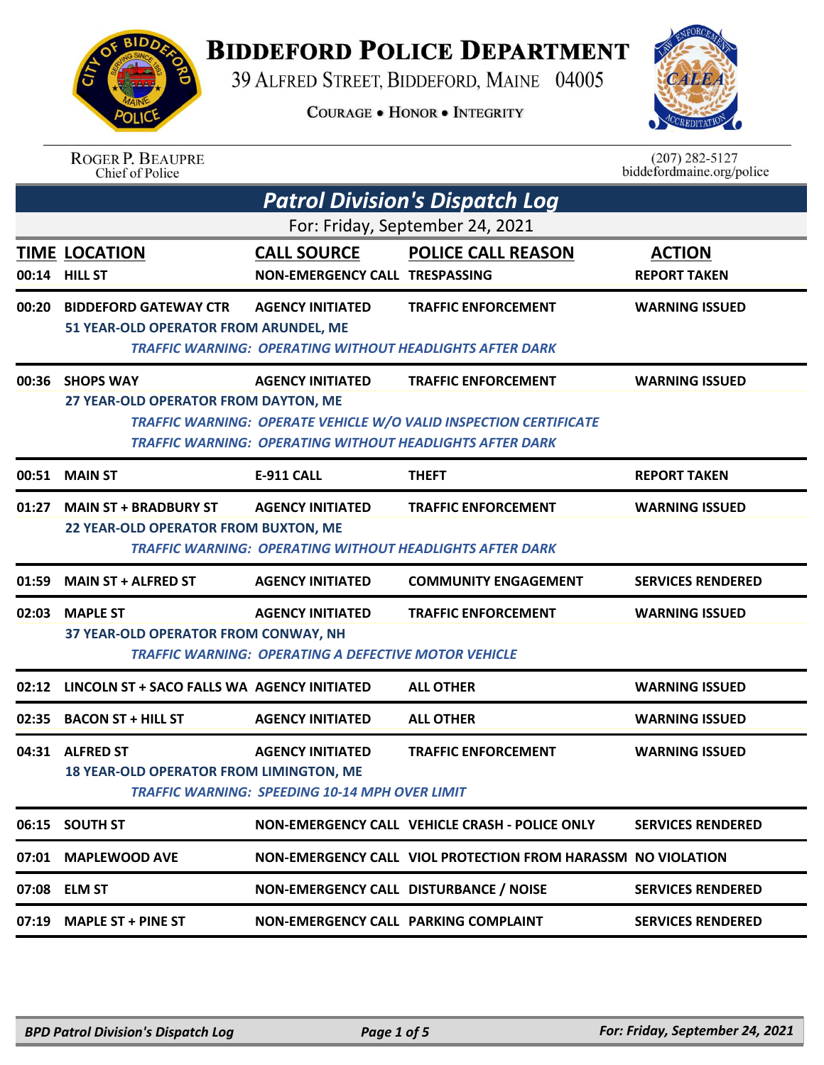## **BIDDEFORD POLICE DEPARTMENT**

39 ALFRED STREET, BIDDEFORD, MAINE 04005

**COURAGE . HONOR . INTEGRITY** 



|       | <b>ROGER P. BEAUPRE</b><br>Chief of Police        |                                                             |                                                                          | $(207)$ 282-5127<br>biddefordmaine.org/police |  |
|-------|---------------------------------------------------|-------------------------------------------------------------|--------------------------------------------------------------------------|-----------------------------------------------|--|
|       | <b>Patrol Division's Dispatch Log</b>             |                                                             |                                                                          |                                               |  |
|       |                                                   |                                                             | For: Friday, September 24, 2021                                          |                                               |  |
|       | <b>TIME LOCATION</b>                              | <b>CALL SOURCE</b>                                          | <b>POLICE CALL REASON</b>                                                | <b>ACTION</b>                                 |  |
|       | 00:14 HILL ST                                     | NON-EMERGENCY CALL TRESPASSING                              |                                                                          | <b>REPORT TAKEN</b>                           |  |
| 00:20 | <b>BIDDEFORD GATEWAY CTR</b>                      | <b>AGENCY INITIATED</b>                                     | <b>TRAFFIC ENFORCEMENT</b>                                               | <b>WARNING ISSUED</b>                         |  |
|       | 51 YEAR-OLD OPERATOR FROM ARUNDEL, ME             |                                                             |                                                                          |                                               |  |
|       |                                                   |                                                             | <b>TRAFFIC WARNING: OPERATING WITHOUT HEADLIGHTS AFTER DARK</b>          |                                               |  |
| 00:36 | <b>SHOPS WAY</b>                                  | <b>AGENCY INITIATED</b>                                     | <b>TRAFFIC ENFORCEMENT</b>                                               | <b>WARNING ISSUED</b>                         |  |
|       | 27 YEAR-OLD OPERATOR FROM DAYTON, ME              |                                                             |                                                                          |                                               |  |
|       |                                                   |                                                             | <b>TRAFFIC WARNING: OPERATE VEHICLE W/O VALID INSPECTION CERTIFICATE</b> |                                               |  |
|       |                                                   |                                                             | <b>TRAFFIC WARNING: OPERATING WITHOUT HEADLIGHTS AFTER DARK</b>          |                                               |  |
|       | 00:51 MAIN ST                                     | <b>E-911 CALL</b>                                           | <b>THEFT</b>                                                             | <b>REPORT TAKEN</b>                           |  |
| 01:27 | <b>MAIN ST + BRADBURY ST</b>                      | <b>AGENCY INITIATED</b>                                     | <b>TRAFFIC ENFORCEMENT</b>                                               | <b>WARNING ISSUED</b>                         |  |
|       | 22 YEAR-OLD OPERATOR FROM BUXTON, ME              |                                                             |                                                                          |                                               |  |
|       |                                                   |                                                             | <b>TRAFFIC WARNING: OPERATING WITHOUT HEADLIGHTS AFTER DARK</b>          |                                               |  |
| 01:59 | <b>MAIN ST + ALFRED ST</b>                        | <b>AGENCY INITIATED</b>                                     | <b>COMMUNITY ENGAGEMENT</b>                                              | <b>SERVICES RENDERED</b>                      |  |
| 02:03 | <b>MAPLE ST</b>                                   | <b>AGENCY INITIATED</b>                                     | <b>TRAFFIC ENFORCEMENT</b>                                               | <b>WARNING ISSUED</b>                         |  |
|       | 37 YEAR-OLD OPERATOR FROM CONWAY, NH              |                                                             |                                                                          |                                               |  |
|       |                                                   | <b>TRAFFIC WARNING: OPERATING A DEFECTIVE MOTOR VEHICLE</b> |                                                                          |                                               |  |
|       | 02:12 LINCOLN ST + SACO FALLS WA AGENCY INITIATED |                                                             | <b>ALL OTHER</b>                                                         | <b>WARNING ISSUED</b>                         |  |
| 02:35 | <b>BACON ST + HILL ST</b>                         | <b>AGENCY INITIATED</b>                                     | <b>ALL OTHER</b>                                                         | <b>WARNING ISSUED</b>                         |  |
|       | 04:31 ALFRED ST                                   | <b>AGENCY INITIATED</b>                                     | <b>TRAFFIC ENFORCEMENT</b>                                               | <b>WARNING ISSUED</b>                         |  |
|       | <b>18 YEAR-OLD OPERATOR FROM LIMINGTON, ME</b>    |                                                             |                                                                          |                                               |  |
|       |                                                   | <b>TRAFFIC WARNING: SPEEDING 10-14 MPH OVER LIMIT</b>       |                                                                          |                                               |  |
|       | 06:15 SOUTH ST                                    |                                                             | NON-EMERGENCY CALL VEHICLE CRASH - POLICE ONLY                           | <b>SERVICES RENDERED</b>                      |  |
|       | 07:01 MAPLEWOOD AVE                               |                                                             | NON-EMERGENCY CALL VIOL PROTECTION FROM HARASSM NO VIOLATION             |                                               |  |
|       | 07:08 ELM ST                                      | NON-EMERGENCY CALL DISTURBANCE / NOISE                      |                                                                          | <b>SERVICES RENDERED</b>                      |  |
|       | 07:19 MAPLE ST + PINE ST                          | NON-EMERGENCY CALL PARKING COMPLAINT                        |                                                                          | <b>SERVICES RENDERED</b>                      |  |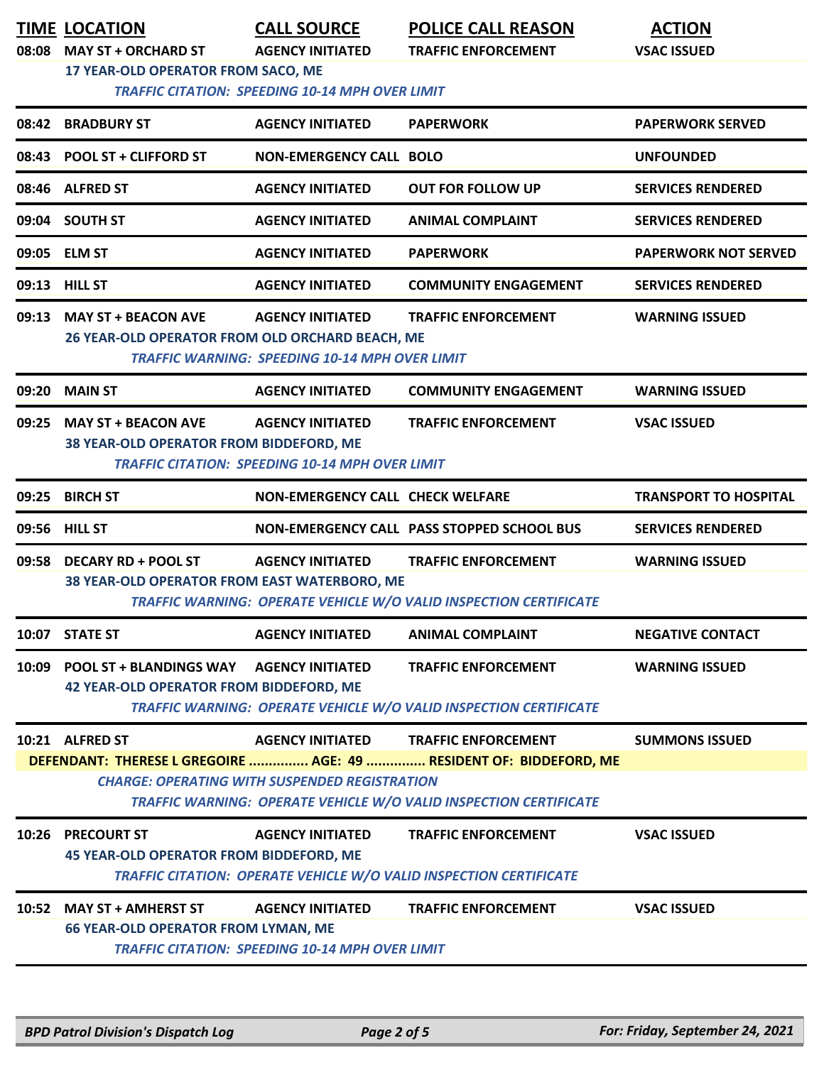| 08:08                                                                                                                     | <b>TIME LOCATION</b><br><b>MAY ST + ORCHARD ST</b><br>17 YEAR-OLD OPERATOR FROM SACO, ME         | <b>CALL SOURCE</b><br><b>AGENCY INITIATED</b><br><b>TRAFFIC CITATION: SPEEDING 10-14 MPH OVER LIMIT</b> | <b>POLICE CALL REASON</b><br><b>TRAFFIC ENFORCEMENT</b>                                                 | <b>ACTION</b><br><b>VSAC ISSUED</b> |  |
|---------------------------------------------------------------------------------------------------------------------------|--------------------------------------------------------------------------------------------------|---------------------------------------------------------------------------------------------------------|---------------------------------------------------------------------------------------------------------|-------------------------------------|--|
|                                                                                                                           | 08:42 BRADBURY ST                                                                                | <b>AGENCY INITIATED</b>                                                                                 | <b>PAPERWORK</b>                                                                                        | <b>PAPERWORK SERVED</b>             |  |
|                                                                                                                           | 08:43 POOL ST + CLIFFORD ST                                                                      | <b>NON-EMERGENCY CALL BOLO</b>                                                                          |                                                                                                         | <b>UNFOUNDED</b>                    |  |
|                                                                                                                           | 08:46 ALFRED ST                                                                                  | <b>AGENCY INITIATED</b>                                                                                 | <b>OUT FOR FOLLOW UP</b>                                                                                | <b>SERVICES RENDERED</b>            |  |
|                                                                                                                           | 09:04 SOUTH ST                                                                                   | <b>AGENCY INITIATED</b>                                                                                 | <b>ANIMAL COMPLAINT</b>                                                                                 | <b>SERVICES RENDERED</b>            |  |
|                                                                                                                           | 09:05 ELM ST                                                                                     | <b>AGENCY INITIATED</b>                                                                                 | <b>PAPERWORK</b>                                                                                        | <b>PAPERWORK NOT SERVED</b>         |  |
|                                                                                                                           | 09:13 HILL ST                                                                                    | <b>AGENCY INITIATED</b>                                                                                 | <b>COMMUNITY ENGAGEMENT</b>                                                                             | <b>SERVICES RENDERED</b>            |  |
|                                                                                                                           | 09:13 MAY ST + BEACON AVE<br>26 YEAR-OLD OPERATOR FROM OLD ORCHARD BEACH, ME                     | <b>AGENCY INITIATED</b><br><b>TRAFFIC WARNING: SPEEDING 10-14 MPH OVER LIMIT</b>                        | <b>TRAFFIC ENFORCEMENT</b>                                                                              | <b>WARNING ISSUED</b>               |  |
|                                                                                                                           | 09:20 MAIN ST                                                                                    | <b>AGENCY INITIATED</b>                                                                                 | <b>COMMUNITY ENGAGEMENT</b>                                                                             | <b>WARNING ISSUED</b>               |  |
| 09:25                                                                                                                     | <b>MAY ST + BEACON AVE</b><br>38 YEAR-OLD OPERATOR FROM BIDDEFORD, ME                            | <b>AGENCY INITIATED</b><br><b>TRAFFIC CITATION: SPEEDING 10-14 MPH OVER LIMIT</b>                       | <b>TRAFFIC ENFORCEMENT</b>                                                                              | <b>VSAC ISSUED</b>                  |  |
|                                                                                                                           | 09:25 BIRCH ST                                                                                   | <b>NON-EMERGENCY CALL CHECK WELFARE</b>                                                                 |                                                                                                         | <b>TRANSPORT TO HOSPITAL</b>        |  |
|                                                                                                                           | 09:56 HILL ST                                                                                    |                                                                                                         | NON-EMERGENCY CALL PASS STOPPED SCHOOL BUS                                                              | <b>SERVICES RENDERED</b>            |  |
| 09:58                                                                                                                     | <b>DECARY RD + POOL ST</b><br>38 YEAR-OLD OPERATOR FROM EAST WATERBORO, ME                       | <b>AGENCY INITIATED</b>                                                                                 | <b>TRAFFIC ENFORCEMENT</b><br>TRAFFIC WARNING: OPERATE VEHICLE W/O VALID INSPECTION CERTIFICATE         | <b>WARNING ISSUED</b>               |  |
|                                                                                                                           | 10:07 STATE ST                                                                                   | <b>AGENCY INITIATED</b>                                                                                 | <b>ANIMAL COMPLAINT</b>                                                                                 | <b>NEGATIVE CONTACT</b>             |  |
|                                                                                                                           | 10:09 POOL ST + BLANDINGS WAY AGENCY INITIATED<br><b>42 YEAR-OLD OPERATOR FROM BIDDEFORD, ME</b> |                                                                                                         | <b>TRAFFIC ENFORCEMENT</b><br><b>TRAFFIC WARNING: OPERATE VEHICLE W/O VALID INSPECTION CERTIFICATE</b>  | <b>WARNING ISSUED</b>               |  |
|                                                                                                                           | 10:21 ALFRED ST                                                                                  | <b>AGENCY INITIATED</b>                                                                                 | <b>TRAFFIC ENFORCEMENT</b><br>DEFENDANT: THERESE L GREGOIRE  AGE: 49  RESIDENT OF: BIDDEFORD, ME        | <b>SUMMONS ISSUED</b>               |  |
| <b>CHARGE: OPERATING WITH SUSPENDED REGISTRATION</b><br>TRAFFIC WARNING: OPERATE VEHICLE W/O VALID INSPECTION CERTIFICATE |                                                                                                  |                                                                                                         |                                                                                                         |                                     |  |
|                                                                                                                           | 10:26 PRECOURT ST<br><b>45 YEAR-OLD OPERATOR FROM BIDDEFORD, ME</b>                              | <b>AGENCY INITIATED</b>                                                                                 | <b>TRAFFIC ENFORCEMENT</b><br><b>TRAFFIC CITATION: OPERATE VEHICLE W/O VALID INSPECTION CERTIFICATE</b> | <b>VSAC ISSUED</b>                  |  |
|                                                                                                                           | 10:52 MAY ST + AMHERST ST<br><b>66 YEAR-OLD OPERATOR FROM LYMAN, ME</b>                          | <b>AGENCY INITIATED</b><br><b>TRAFFIC CITATION: SPEEDING 10-14 MPH OVER LIMIT</b>                       | <b>TRAFFIC ENFORCEMENT</b>                                                                              | <b>VSAC ISSUED</b>                  |  |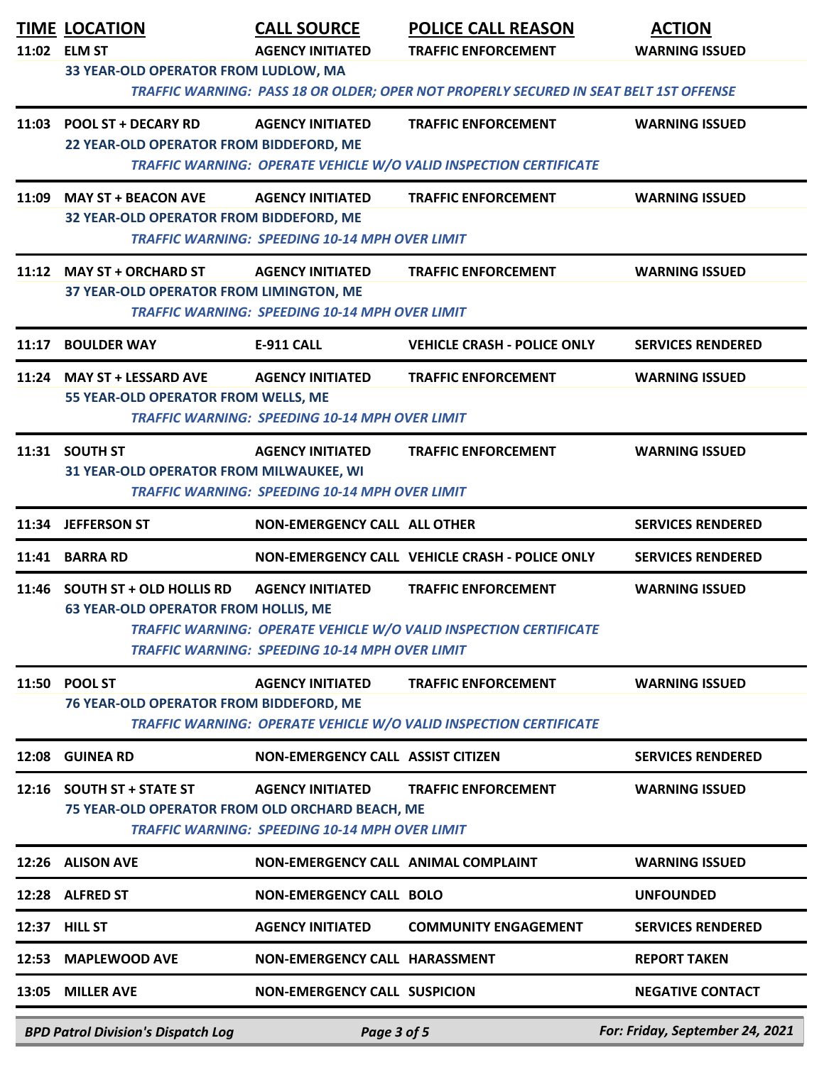|       | <b>TIME LOCATION</b><br>11:02 ELM ST<br>33 YEAR-OLD OPERATOR FROM LUDLOW, MA  | <b>CALL SOURCE</b><br><b>AGENCY INITIATED</b>                                    | <b>POLICE CALL REASON</b><br><b>TRAFFIC ENFORCEMENT</b>                                                                                                                                  | <b>ACTION</b><br><b>WARNING ISSUED</b> |
|-------|-------------------------------------------------------------------------------|----------------------------------------------------------------------------------|------------------------------------------------------------------------------------------------------------------------------------------------------------------------------------------|----------------------------------------|
|       | 11:03 POOL ST + DECARY RD<br>22 YEAR-OLD OPERATOR FROM BIDDEFORD, ME          | <b>AGENCY INITIATED</b>                                                          | TRAFFIC WARNING: PASS 18 OR OLDER; OPER NOT PROPERLY SECURED IN SEAT BELT 1ST OFFENSE<br><b>TRAFFIC ENFORCEMENT</b><br>TRAFFIC WARNING: OPERATE VEHICLE W/O VALID INSPECTION CERTIFICATE | <b>WARNING ISSUED</b>                  |
| 11:09 | <b>MAY ST + BEACON AVE</b><br>32 YEAR-OLD OPERATOR FROM BIDDEFORD, ME         | <b>AGENCY INITIATED</b><br><b>TRAFFIC WARNING: SPEEDING 10-14 MPH OVER LIMIT</b> | <b>TRAFFIC ENFORCEMENT</b>                                                                                                                                                               | <b>WARNING ISSUED</b>                  |
|       | 11:12 MAY ST + ORCHARD ST<br>37 YEAR-OLD OPERATOR FROM LIMINGTON, ME          | <b>AGENCY INITIATED</b><br><b>TRAFFIC WARNING: SPEEDING 10-14 MPH OVER LIMIT</b> | <b>TRAFFIC ENFORCEMENT</b>                                                                                                                                                               | <b>WARNING ISSUED</b>                  |
|       | 11:17 BOULDER WAY                                                             | <b>E-911 CALL</b>                                                                | <b>VEHICLE CRASH - POLICE ONLY</b>                                                                                                                                                       | <b>SERVICES RENDERED</b>               |
|       | 11:24 MAY ST + LESSARD AVE<br>55 YEAR-OLD OPERATOR FROM WELLS, ME             | <b>AGENCY INITIATED</b><br><b>TRAFFIC WARNING: SPEEDING 10-14 MPH OVER LIMIT</b> | <b>TRAFFIC ENFORCEMENT</b>                                                                                                                                                               | <b>WARNING ISSUED</b>                  |
|       | 11:31 SOUTH ST<br>31 YEAR-OLD OPERATOR FROM MILWAUKEE, WI                     | <b>AGENCY INITIATED</b><br><b>TRAFFIC WARNING: SPEEDING 10-14 MPH OVER LIMIT</b> | <b>TRAFFIC ENFORCEMENT</b>                                                                                                                                                               | <b>WARNING ISSUED</b>                  |
|       | 11:34 JEFFERSON ST                                                            | <b>NON-EMERGENCY CALL ALL OTHER</b>                                              |                                                                                                                                                                                          | <b>SERVICES RENDERED</b>               |
|       | 11:41 BARRA RD                                                                |                                                                                  | NON-EMERGENCY CALL VEHICLE CRASH - POLICE ONLY                                                                                                                                           | <b>SERVICES RENDERED</b>               |
|       | 11:46 SOUTH ST + OLD HOLLIS RD<br><b>63 YEAR-OLD OPERATOR FROM HOLLIS, ME</b> | <b>AGENCY INITIATED</b><br><b>TRAFFIC WARNING: SPEEDING 10-14 MPH OVER LIMIT</b> | <b>TRAFFIC ENFORCEMENT</b><br>TRAFFIC WARNING: OPERATE VEHICLE W/O VALID INSPECTION CERTIFICATE                                                                                          | <b>WARNING ISSUED</b>                  |
|       | 11:50 POOL ST<br>76 YEAR-OLD OPERATOR FROM BIDDEFORD, ME                      | <b>AGENCY INITIATED</b>                                                          | <b>TRAFFIC ENFORCEMENT</b><br>TRAFFIC WARNING: OPERATE VEHICLE W/O VALID INSPECTION CERTIFICATE                                                                                          | <b>WARNING ISSUED</b>                  |
|       | 12:08 GUINEA RD                                                               | NON-EMERGENCY CALL ASSIST CITIZEN                                                |                                                                                                                                                                                          | <b>SERVICES RENDERED</b>               |
|       | 12:16 SOUTH ST + STATE ST<br>75 YEAR-OLD OPERATOR FROM OLD ORCHARD BEACH, ME  | <b>AGENCY INITIATED</b><br><b>TRAFFIC WARNING: SPEEDING 10-14 MPH OVER LIMIT</b> | <b>TRAFFIC ENFORCEMENT</b>                                                                                                                                                               | <b>WARNING ISSUED</b>                  |
|       | 12:26 ALISON AVE                                                              | NON-EMERGENCY CALL ANIMAL COMPLAINT                                              |                                                                                                                                                                                          | <b>WARNING ISSUED</b>                  |
|       | 12:28 ALFRED ST                                                               | <b>NON-EMERGENCY CALL BOLO</b>                                                   |                                                                                                                                                                                          | <b>UNFOUNDED</b>                       |
| 12:37 | <b>HILL ST</b>                                                                | <b>AGENCY INITIATED</b>                                                          | <b>COMMUNITY ENGAGEMENT</b>                                                                                                                                                              | <b>SERVICES RENDERED</b>               |
| 12:53 | <b>MAPLEWOOD AVE</b>                                                          | NON-EMERGENCY CALL HARASSMENT                                                    |                                                                                                                                                                                          | <b>REPORT TAKEN</b>                    |
|       | 13:05 MILLER AVE                                                              | <b>NON-EMERGENCY CALL SUSPICION</b>                                              |                                                                                                                                                                                          | <b>NEGATIVE CONTACT</b>                |
|       | <b>BPD Patrol Division's Dispatch Log</b>                                     | Page 3 of 5                                                                      |                                                                                                                                                                                          | For: Friday, September 24, 2021        |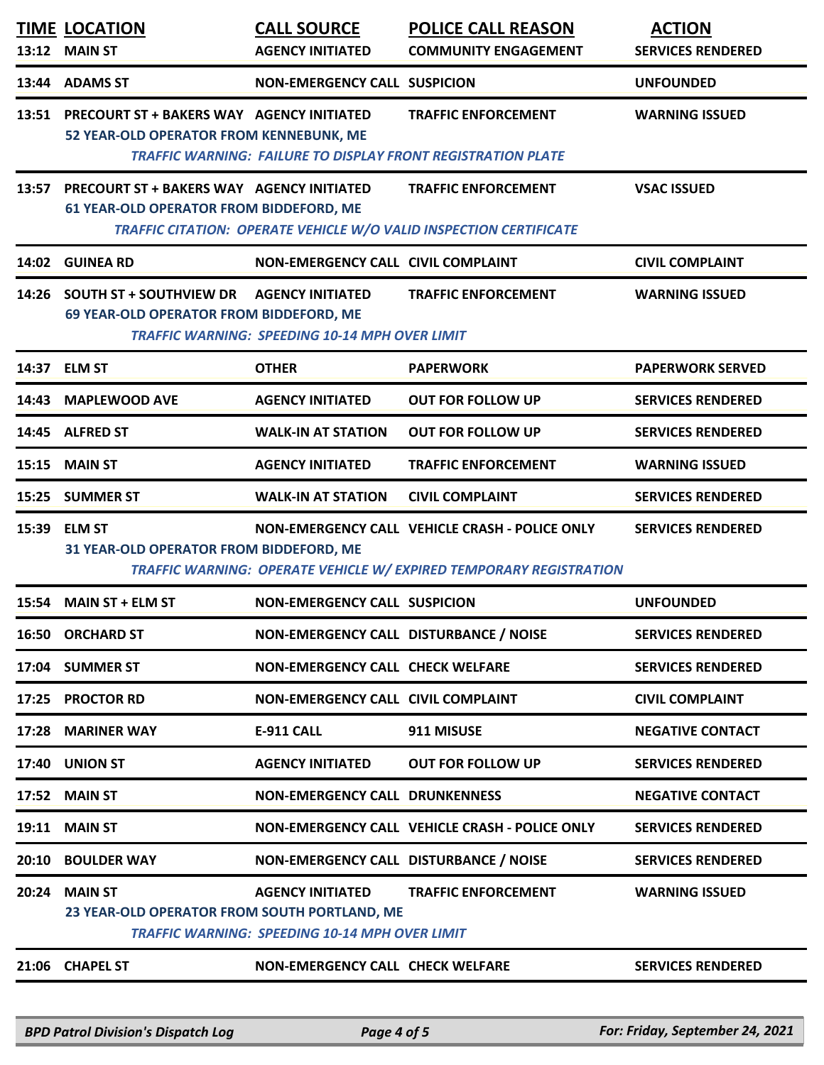| 13:12 | <b>TIME LOCATION</b><br><b>MAIN ST</b>                                                     | <b>CALL SOURCE</b><br><b>AGENCY INITIATED</b>                                    | <b>POLICE CALL REASON</b><br><b>COMMUNITY ENGAGEMENT</b>                                                             | <b>ACTION</b><br><b>SERVICES RENDERED</b> |
|-------|--------------------------------------------------------------------------------------------|----------------------------------------------------------------------------------|----------------------------------------------------------------------------------------------------------------------|-------------------------------------------|
| 13:44 | <b>ADAMS ST</b>                                                                            | <b>NON-EMERGENCY CALL SUSPICION</b>                                              |                                                                                                                      | <b>UNFOUNDED</b>                          |
|       | 13:51 PRECOURT ST + BAKERS WAY AGENCY INITIATED<br>52 YEAR-OLD OPERATOR FROM KENNEBUNK, ME |                                                                                  | <b>TRAFFIC ENFORCEMENT</b><br><b>TRAFFIC WARNING: FAILURE TO DISPLAY FRONT REGISTRATION PLATE</b>                    | <b>WARNING ISSUED</b>                     |
|       | 13:57 PRECOURT ST + BAKERS WAY AGENCY INITIATED<br>61 YEAR-OLD OPERATOR FROM BIDDEFORD, ME |                                                                                  | <b>TRAFFIC ENFORCEMENT</b><br>TRAFFIC CITATION: OPERATE VEHICLE W/O VALID INSPECTION CERTIFICATE                     | <b>VSAC ISSUED</b>                        |
|       | 14:02 GUINEA RD                                                                            | <b>NON-EMERGENCY CALL CIVIL COMPLAINT</b>                                        |                                                                                                                      | <b>CIVIL COMPLAINT</b>                    |
|       | 14:26 SOUTH ST + SOUTHVIEW DR<br>69 YEAR-OLD OPERATOR FROM BIDDEFORD, ME                   | <b>AGENCY INITIATED</b><br><b>TRAFFIC WARNING: SPEEDING 10-14 MPH OVER LIMIT</b> | <b>TRAFFIC ENFORCEMENT</b>                                                                                           | <b>WARNING ISSUED</b>                     |
|       | 14:37 ELM ST                                                                               | <b>OTHER</b>                                                                     | <b>PAPERWORK</b>                                                                                                     | <b>PAPERWORK SERVED</b>                   |
| 14:43 | <b>MAPLEWOOD AVE</b>                                                                       | <b>AGENCY INITIATED</b>                                                          | <b>OUT FOR FOLLOW UP</b>                                                                                             | <b>SERVICES RENDERED</b>                  |
|       | 14:45 ALFRED ST                                                                            | <b>WALK-IN AT STATION</b>                                                        | <b>OUT FOR FOLLOW UP</b>                                                                                             | <b>SERVICES RENDERED</b>                  |
| 15:15 | <b>MAIN ST</b>                                                                             | <b>AGENCY INITIATED</b>                                                          | <b>TRAFFIC ENFORCEMENT</b>                                                                                           | <b>WARNING ISSUED</b>                     |
| 15:25 | <b>SUMMER ST</b>                                                                           | <b>WALK-IN AT STATION</b>                                                        | <b>CIVIL COMPLAINT</b>                                                                                               | <b>SERVICES RENDERED</b>                  |
| 15:39 | <b>ELM ST</b><br>31 YEAR-OLD OPERATOR FROM BIDDEFORD, ME                                   |                                                                                  | NON-EMERGENCY CALL VEHICLE CRASH - POLICE ONLY<br>TRAFFIC WARNING: OPERATE VEHICLE W/ EXPIRED TEMPORARY REGISTRATION | <b>SERVICES RENDERED</b>                  |
|       | 15:54 MAIN ST + ELM ST                                                                     | <b>NON-EMERGENCY CALL SUSPICION</b>                                              |                                                                                                                      | <b>UNFOUNDED</b>                          |
|       | <b>16:50 ORCHARD ST</b>                                                                    | NON-EMERGENCY CALL DISTURBANCE / NOISE                                           |                                                                                                                      | <b>SERVICES RENDERED</b>                  |
|       | 17:04 SUMMER ST                                                                            | <b>NON-EMERGENCY CALL CHECK WELFARE</b>                                          |                                                                                                                      | <b>SERVICES RENDERED</b>                  |
|       | 17:25 PROCTOR RD                                                                           | <b>NON-EMERGENCY CALL CIVIL COMPLAINT</b>                                        |                                                                                                                      | <b>CIVIL COMPLAINT</b>                    |
|       | 17:28 MARINER WAY                                                                          | <b>E-911 CALL</b>                                                                | 911 MISUSE                                                                                                           | <b>NEGATIVE CONTACT</b>                   |
|       | 17:40 UNION ST                                                                             | <b>AGENCY INITIATED</b>                                                          | <b>OUT FOR FOLLOW UP</b>                                                                                             | <b>SERVICES RENDERED</b>                  |
|       | 17:52 MAIN ST                                                                              | <b>NON-EMERGENCY CALL DRUNKENNESS</b>                                            |                                                                                                                      | <b>NEGATIVE CONTACT</b>                   |
|       | 19:11 MAIN ST                                                                              |                                                                                  | NON-EMERGENCY CALL VEHICLE CRASH - POLICE ONLY                                                                       | <b>SERVICES RENDERED</b>                  |
|       | 20:10 BOULDER WAY                                                                          | NON-EMERGENCY CALL DISTURBANCE / NOISE                                           |                                                                                                                      | <b>SERVICES RENDERED</b>                  |
|       | 20:24 MAIN ST<br>23 YEAR-OLD OPERATOR FROM SOUTH PORTLAND, ME                              | <b>AGENCY INITIATED</b><br><b>TRAFFIC WARNING: SPEEDING 10-14 MPH OVER LIMIT</b> | <b>TRAFFIC ENFORCEMENT</b>                                                                                           | <b>WARNING ISSUED</b>                     |
|       | 21:06 CHAPEL ST                                                                            | <b>NON-EMERGENCY CALL CHECK WELFARE</b>                                          |                                                                                                                      | <b>SERVICES RENDERED</b>                  |
|       |                                                                                            |                                                                                  |                                                                                                                      |                                           |

*BPD Patrol Division's Dispatch Log Page 4 of 5 For: Friday, September 24, 2021*